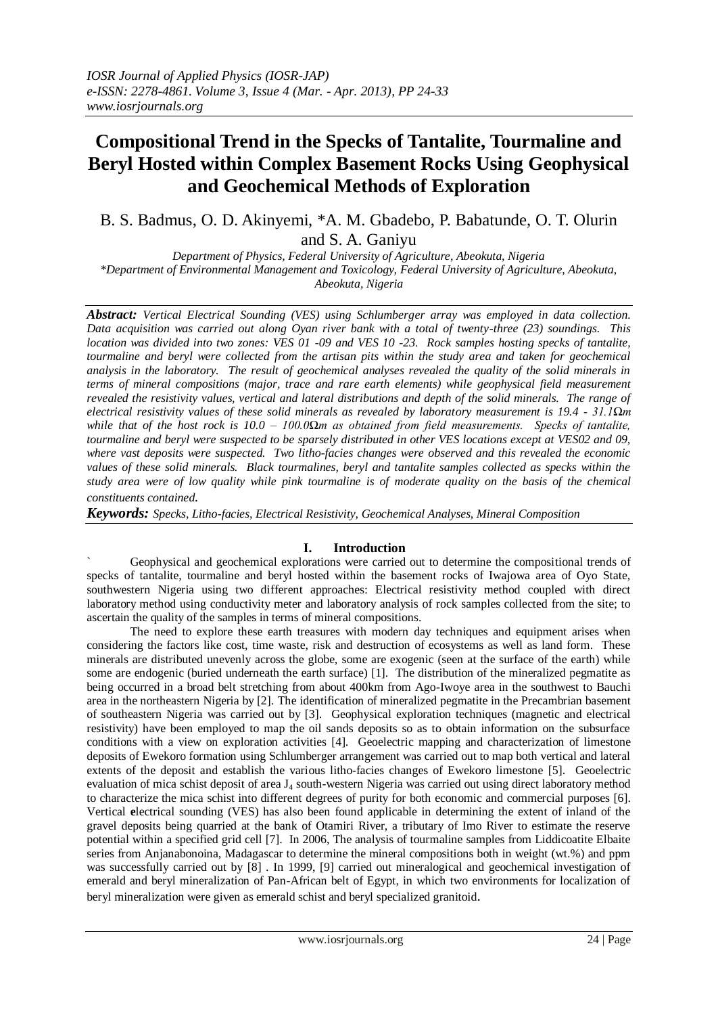# **Compositional Trend in the Specks of Tantalite, Tourmaline and Beryl Hosted within Complex Basement Rocks Using Geophysical and Geochemical Methods of Exploration**

B. S. Badmus, O. D. Akinyemi, \*A. M. Gbadebo, P. Babatunde, O. T. Olurin and S. A. Ganiyu

*Department of Physics, Federal University of Agriculture, Abeokuta, Nigeria \*Department of Environmental Management and Toxicology, Federal University of Agriculture, Abeokuta, Abeokuta, Nigeria*

*Abstract: Vertical Electrical Sounding (VES) using Schlumberger array was employed in data collection. Data acquisition was carried out along Oyan river bank with a total of twenty-three (23) soundings. This location was divided into two zones: VES 01 -09 and VES 10 -23. Rock samples hosting specks of tantalite, tourmaline and beryl were collected from the artisan pits within the study area and taken for geochemical analysis in the laboratory. The result of geochemical analyses revealed the quality of the solid minerals in terms of mineral compositions (major, trace and rare earth elements) while geophysical field measurement revealed the resistivity values, vertical and lateral distributions and depth of the solid minerals. The range of electrical resistivity values of these solid minerals as revealed by laboratory measurement is 19.4 - 31.1Ωm while that of the host rock is 10.0 – 100.0Ωm as obtained from field measurements. Specks of tantalite, tourmaline and beryl were suspected to be sparsely distributed in other VES locations except at VES02 and 09, where vast deposits were suspected. Two litho-facies changes were observed and this revealed the economic values of these solid minerals. Black tourmalines, beryl and tantalite samples collected as specks within the study area were of low quality while pink tourmaline is of moderate quality on the basis of the chemical constituents contained.* 

*Keywords: Specks, Litho-facies, Electrical Resistivity, Geochemical Analyses, Mineral Composition*

### **I. Introduction**

` Geophysical and geochemical explorations were carried out to determine the compositional trends of specks of tantalite, tourmaline and beryl hosted within the basement rocks of Iwajowa area of Oyo State, southwestern Nigeria using two different approaches: Electrical resistivity method coupled with direct laboratory method using conductivity meter and laboratory analysis of rock samples collected from the site; to ascertain the quality of the samples in terms of mineral compositions.

The need to explore these earth treasures with modern day techniques and equipment arises when considering the factors like cost, time waste, risk and destruction of ecosystems as well as land form. These minerals are distributed unevenly across the globe, some are exogenic (seen at the surface of the earth) while some are endogenic (buried underneath the earth surface) [1]. The distribution of the mineralized pegmatite as being occurred in a broad belt stretching from about 400km from Ago-Iwoye area in the southwest to Bauchi area in the northeastern Nigeria by [2]. The identification of mineralized pegmatite in the Precambrian basement of southeastern Nigeria was carried out by [3]. Geophysical exploration techniques (magnetic and electrical resistivity) have been employed to map the oil sands deposits so as to obtain information on the subsurface conditions with a view on exploration activities [4]. Geoelectric mapping and characterization of limestone deposits of Ewekoro formation using Schlumberger arrangement was carried out to map both vertical and lateral extents of the deposit and establish the various litho-facies changes of Ewekoro limestone [5]. Geoelectric evaluation of mica schist deposit of area J<sup>4</sup> south-western Nigeria was carried out using direct laboratory method to characterize the mica schist into different degrees of purity for both economic and commercial purposes [6]. Vertical **e**lectrical sounding (VES) has also been found applicable in determining the extent of inland of the gravel deposits being quarried at the bank of Otamiri River, a tributary of Imo River to estimate the reserve potential within a specified grid cell [7]. In 2006, The analysis of tourmaline samples from Liddicoatite Elbaite series from Anjanabonoina, Madagascar to determine the mineral compositions both in weight (wt.%) and ppm was successfully carried out by [8] . In 1999, [9] carried out mineralogical and geochemical investigation of emerald and beryl mineralization of Pan-African belt of Egypt, in which two environments for localization of beryl mineralization were given as emerald schist and beryl specialized granitoid.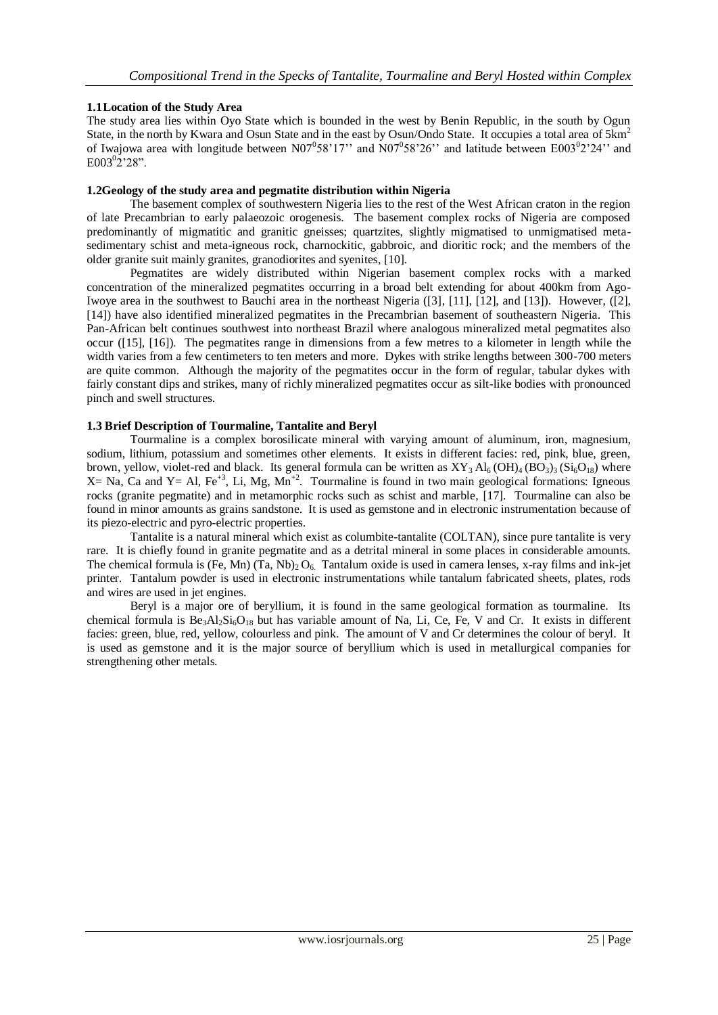### **1.1Location of the Study Area**

The study area lies within Oyo State which is bounded in the west by Benin Republic, in the south by Ogun State, in the north by Kwara and Osun State and in the east by Osun/Ondo State. It occupies a total area of 5km<sup>2</sup> of Iwajowa area with longitude between N07<sup>0</sup>58'17" and N07<sup>0</sup>58'26" and latitude between E003<sup>0</sup>2'24" and  $E003^{0}2^{\prime}28$ ".

#### **1.2Geology of the study area and pegmatite distribution within Nigeria**

The basement complex of southwestern Nigeria lies to the rest of the West African craton in the region of late Precambrian to early palaeozoic orogenesis. The basement complex rocks of Nigeria are composed predominantly of migmatitic and granitic gneisses; quartzites, slightly migmatised to unmigmatised metasedimentary schist and meta-igneous rock, charnockitic, gabbroic, and dioritic rock; and the members of the older granite suit mainly granites, granodiorites and syenites, [10].

Pegmatites are widely distributed within Nigerian basement complex rocks with a marked concentration of the mineralized pegmatites occurring in a broad belt extending for about 400km from Ago-Iwoye area in the southwest to Bauchi area in the northeast Nigeria ([3], [11], [12], and [13]). However, ([2], [14]) have also identified mineralized pegmatites in the Precambrian basement of southeastern Nigeria. This Pan-African belt continues southwest into northeast Brazil where analogous mineralized metal pegmatites also occur ([15], [16]). The pegmatites range in dimensions from a few metres to a kilometer in length while the width varies from a few centimeters to ten meters and more. Dykes with strike lengths between 300-700 meters are quite common. Although the majority of the pegmatites occur in the form of regular, tabular dykes with fairly constant dips and strikes, many of richly mineralized pegmatites occur as silt-like bodies with pronounced pinch and swell structures.

### **1.3 Brief Description of Tourmaline, Tantalite and Beryl**

Tourmaline is a complex borosilicate mineral with varying amount of aluminum, iron, magnesium, sodium, lithium, potassium and sometimes other elements. It exists in different facies: red, pink, blue, green, brown, yellow, violet-red and black. Its general formula can be written as  $XY_3 Al_6(OH)_4 (BO_3)_3 (Si_6O_{18})$  where  $X=$  Na, Ca and Y = Al, Fe<sup>+3</sup>, Li, Mg, Mn<sup>+2</sup>. Tourmaline is found in two main geological formations: Igneous rocks (granite pegmatite) and in metamorphic rocks such as schist and marble, [17]. Tourmaline can also be found in minor amounts as grains sandstone. It is used as gemstone and in electronic instrumentation because of its piezo-electric and pyro-electric properties.

Tantalite is a natural mineral which exist as columbite-tantalite (COLTAN), since pure tantalite is very rare. It is chiefly found in granite pegmatite and as a detrital mineral in some places in considerable amounts. The chemical formula is (Fe, Mn) (Ta, Nb)<sub>2</sub> O<sub>6</sub>. Tantalum oxide is used in camera lenses, x-ray films and ink-jet printer. Tantalum powder is used in electronic instrumentations while tantalum fabricated sheets, plates, rods and wires are used in jet engines.

Beryl is a major ore of beryllium, it is found in the same geological formation as tourmaline. Its chemical formula is  $Be_3Al_2Si_6O_{18}$  but has variable amount of Na, Li, Ce, Fe, V and Cr. It exists in different facies: green, blue, red, yellow, colourless and pink. The amount of V and Cr determines the colour of beryl. It is used as gemstone and it is the major source of beryllium which is used in metallurgical companies for strengthening other metals.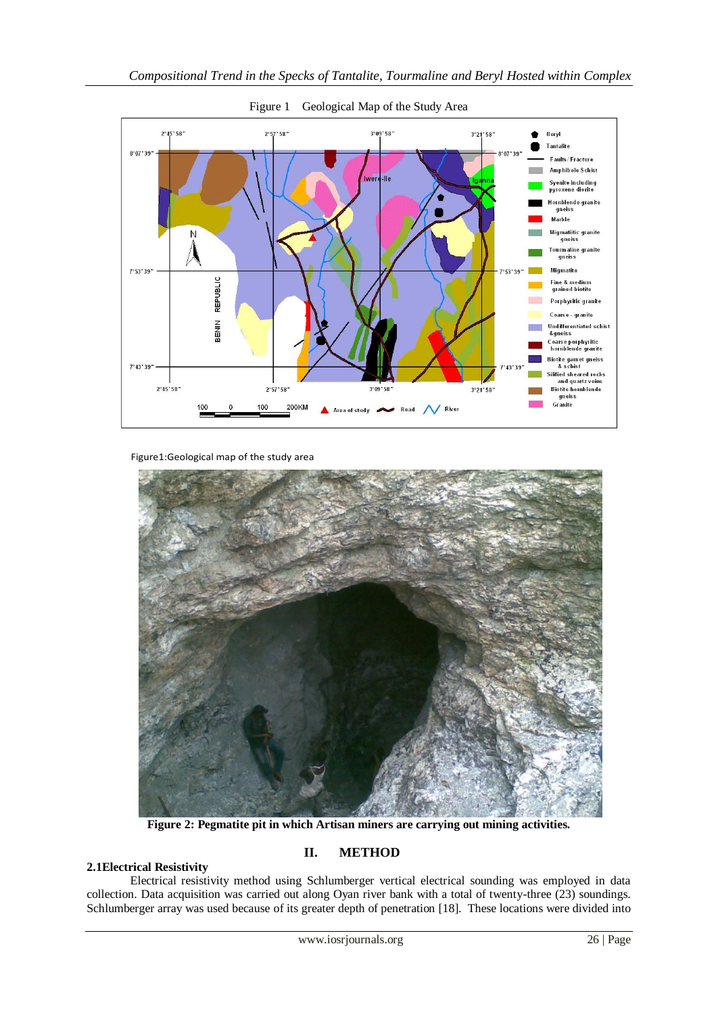

Figure 1 Geological Map of the Study Area

Figure1:Geological map of the study area



**Figure 2: Pegmatite pit in which Artisan miners are carrying out mining activities.**

### **II. METHOD**

**2.1Electrical Resistivity** Electrical resistivity method using Schlumberger vertical electrical sounding was employed in data collection. Data acquisition was carried out along Oyan river bank with a total of twenty-three (23) soundings. Schlumberger array was used because of its greater depth of penetration [18]. These locations were divided into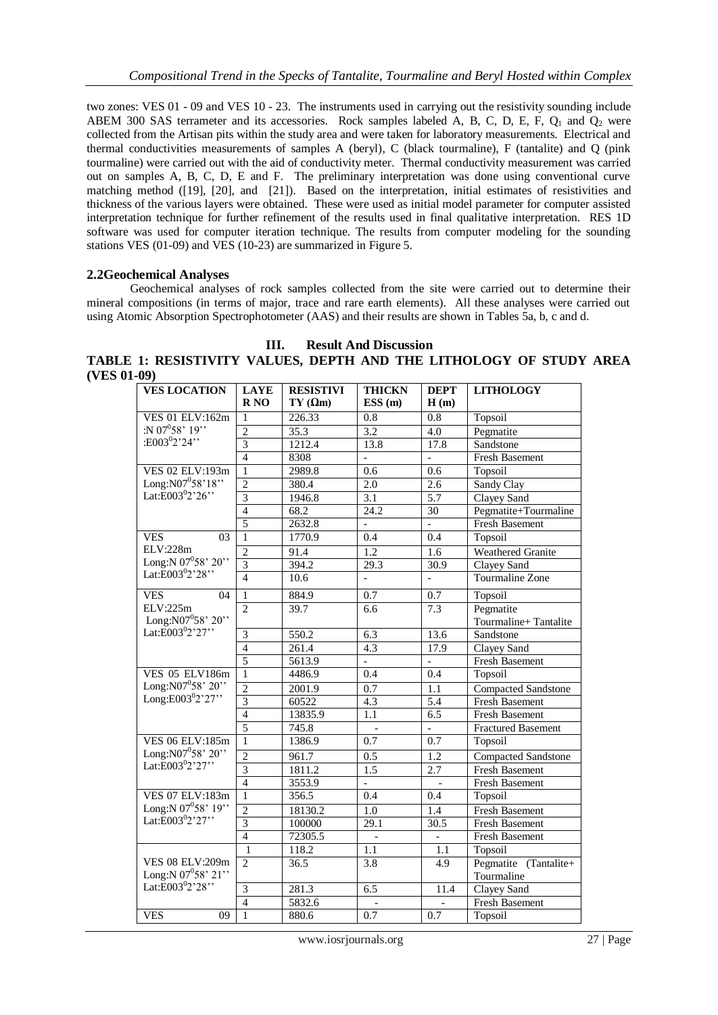two zones: VES 01 - 09 and VES 10 - 23. The instruments used in carrying out the resistivity sounding include ABEM 300 SAS terrameter and its accessories. Rock samples labeled A, B, C, D, E, F,  $Q_1$  and  $Q_2$  were collected from the Artisan pits within the study area and were taken for laboratory measurements. Electrical and thermal conductivities measurements of samples A (beryl), C (black tourmaline), F (tantalite) and Q (pink tourmaline) were carried out with the aid of conductivity meter. Thermal conductivity measurement was carried out on samples A, B, C, D, E and F. The preliminary interpretation was done using conventional curve matching method ([19], [20], and [21]). Based on the interpretation, initial estimates of resistivities and thickness of the various layers were obtained. These were used as initial model parameter for computer assisted interpretation technique for further refinement of the results used in final qualitative interpretation. RES 1D software was used for computer iteration technique. The results from computer modeling for the sounding stations VES (01-09) and VES (10-23) are summarized in Figure 5.

### **2.2Geochemical Analyses**

Geochemical analyses of rock samples collected from the site were carried out to determine their mineral compositions (in terms of major, trace and rare earth elements). All these analyses were carried out using Atomic Absorption Spectrophotometer (AAS) and their results are shown in Tables 5a, b, c and d.

**III. Result And Discussion TABLE 1: RESISTIVITY VALUES, DEPTH AND THE LITHOLOGY OF STUDY AREA (VES 01-09)**

| <b>VES LOCATION</b>                                          | <b>LAYE</b><br>R <sub>NO</sub> | <b>RESISTIVI</b><br>$TY(\Omega m)$ | <b>THICKN</b><br>ESS(m)  | <b>DEPT</b><br>H(m)      | <b>LITHOLOGY</b>           |
|--------------------------------------------------------------|--------------------------------|------------------------------------|--------------------------|--------------------------|----------------------------|
| <b>VES 01 ELV:162m</b>                                       | $\mathbf{1}$                   | 226.33                             | 0.8                      | 0.8                      | Topsoil                    |
| :N $07^058'$ 19"                                             | $\overline{2}$                 | 35.3                               | 3.2                      | 4.0                      | Pegmatite                  |
| :E003 <sup>0</sup> 2'24''                                    | $\overline{3}$                 | 1212.4                             | 13.8                     | 17.8                     | Sandstone                  |
|                                                              | $\overline{4}$                 | 8308                               | $\overline{\phantom{a}}$ | $\overline{\phantom{0}}$ | Fresh Basement             |
| VES 02 ELV:193m                                              | $\mathbf{1}$                   | 2989.8                             | 0.6                      | 0.6                      | Topsoil                    |
| Long:N07 <sup>0</sup> 58'18"<br>Lat:E003 <sup>0</sup> 2'26"  | $\overline{2}$                 | 380.4                              | $2.0\,$                  | 2.6                      | Sandy Clay                 |
|                                                              | $\overline{3}$                 | 1946.8                             | $\overline{3.1}$         | 5.7                      | Clayey Sand                |
|                                                              | $\overline{4}$                 | 68.2                               | 24.2                     | 30                       | Pegmatite+Tourmaline       |
|                                                              | 5                              | 2632.8                             | $\frac{1}{2}$            | $\overline{a}$           | <b>Fresh Basement</b>      |
| <b>VES</b><br>03                                             | $\mathbf{1}$                   | 1770.9                             | 0.4                      | 0.4                      | Topsoil                    |
| ELV:228m                                                     | $\overline{2}$                 | 91.4                               | 1.2                      | 1.6                      | Weathered Granite          |
| Long:N 07°58' 20"                                            | $\overline{3}$                 | 394.2                              | 29.3                     | 30.9                     | Clayey Sand                |
| Lat:E003 <sup>0</sup> 2'28"                                  | $\overline{4}$                 | 10.6                               | $\overline{a}$           | $\overline{a}$           | <b>Tourmaline Zone</b>     |
| <b>VES</b><br>04                                             | $\mathbf{1}$                   | 884.9                              | 0.7                      | 0.7                      | Topsoil                    |
| ELV:225m                                                     | $\overline{2}$                 | 39.7                               | 6.6                      | 7.3                      | Pegmatite                  |
| Long:N07 <sup>0</sup> 58' 20"<br>Lat:E003 <sup>0</sup> 2'27" |                                |                                    |                          |                          | Tourmaline+Tantalite       |
|                                                              | $\overline{3}$                 | 550.2                              | 6.3                      | 13.6                     | Sandstone                  |
|                                                              | $\overline{4}$                 | 261.4                              | 4.3                      | 17.9                     | Clayey Sand                |
|                                                              | 5                              | 5613.9                             | $\overline{\phantom{0}}$ | $\overline{a}$           | <b>Fresh Basement</b>      |
| <b>VES 05 ELV186m</b>                                        | $\mathbf{1}$                   | 4486.9                             | 0.4                      | 0.4                      | Topsoil                    |
| Long: $N07^{0}58'$ 20"                                       | $\overline{2}$                 | 2001.9                             | 0.7                      | 1.1                      | Compacted Sandstone        |
| Long:E003 $^0$ 2'27"                                         | $\overline{3}$                 | 60522                              | 4.3                      | $\overline{5.4}$         | <b>Fresh Basement</b>      |
|                                                              | $\overline{4}$                 | 13835.9                            | 1.1                      | 6.5                      | <b>Fresh Basement</b>      |
|                                                              | $\overline{5}$                 | 745.8                              |                          |                          | <b>Fractured Basement</b>  |
| <b>VES 06 ELV:185m</b>                                       | $\overline{1}$                 | 1386.9                             | 0.7                      | 0.7                      | Topsoil                    |
| Long:N07°58' 20"                                             | $\overline{2}$                 | 961.7                              | 0.5                      | 1.2                      | <b>Compacted Sandstone</b> |
| Lat: $E003^{0}2'27''$                                        | $\overline{3}$                 | 1811.2                             | 1.5                      | 2.7                      | <b>Fresh Basement</b>      |
|                                                              | $\overline{4}$                 | 3553.9                             |                          |                          | Fresh Basement             |
| VES 07 ELV:183m                                              | $\overline{1}$                 | 356.5                              | 0.4                      | 0.4                      | Topsoil                    |
| Long: N $07^0$ 58' 19''                                      | $\overline{c}$                 | 18130.2                            | 1.0                      | 1.4                      | <b>Fresh Basement</b>      |
| Lat: $E003^{0}2'27''$                                        | $\overline{3}$                 | 100000                             | $\overline{29.1}$        | 30.5                     | <b>Fresh Basement</b>      |
|                                                              | $\overline{4}$                 | 72305.5                            |                          |                          | Fresh Basement             |
|                                                              | $\mathbf{1}$                   | 118.2                              | 1.1                      | 1.1                      | Topsoil                    |
| VES 08 ELV:209m                                              | $\overline{2}$                 | 36.5                               | 3.8                      | 4.9                      | Pegmatite (Tantalite+      |
| Long: N $07^0$ 58' 21"                                       |                                |                                    |                          |                          | Tourmaline                 |
| Lat: $E003^02'28''$                                          | $\overline{3}$                 | 281.3                              | 6.5                      | 11.4                     | Clayey Sand                |
|                                                              | $\overline{4}$                 | 5832.6                             |                          |                          | <b>Fresh Basement</b>      |
| <b>VES</b><br>09                                             | $\mathbf{1}$                   | 880.6                              | 0.7                      | 0.7                      | Topsoil                    |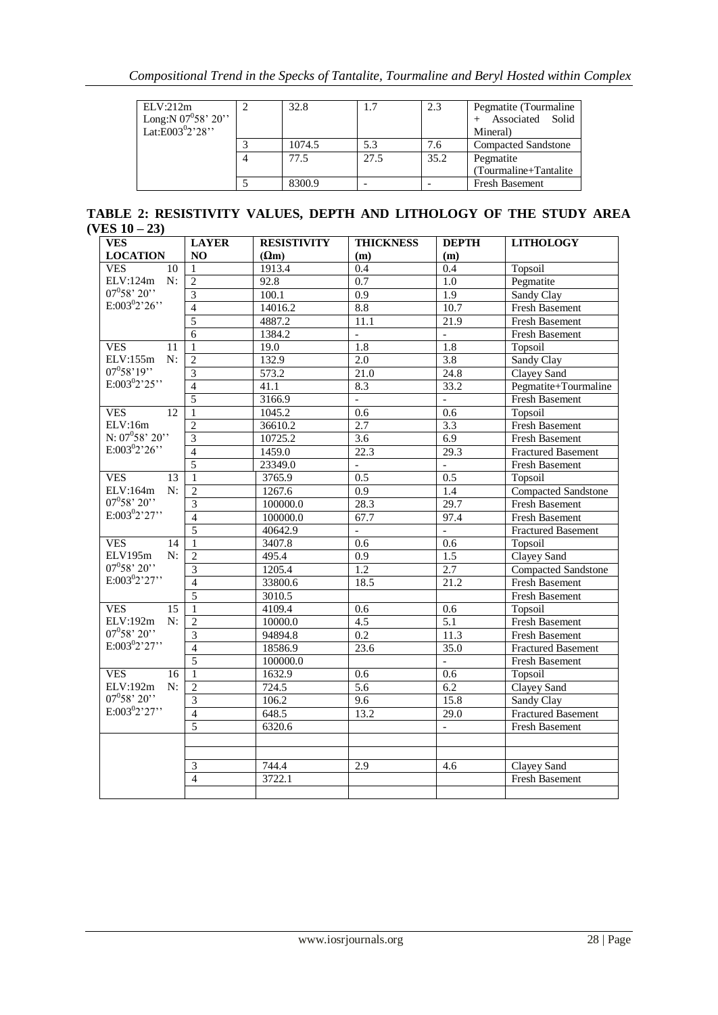| ELV:212m<br>Long: N $07^0 58' 20''$<br>Lat:E003 <sup>0</sup> 2'28" | 32.8   |      | 2.3  | Pegmatite (Tourmaline)<br>Associated Solid<br>Mineral) |
|--------------------------------------------------------------------|--------|------|------|--------------------------------------------------------|
|                                                                    | 1074.5 | 5.3  | 7.6  | <b>Compacted Sandstone</b>                             |
|                                                                    | 77.5   | 27.5 | 35.2 | Pegmatite                                              |
|                                                                    |        |      |      | (Tourmaline+Tantalite)                                 |
|                                                                    | 8300.9 |      |      | <b>Fresh Basement</b>                                  |

**TABLE 2: RESISTIVITY VALUES, DEPTH AND LITHOLOGY OF THE STUDY AREA (VES 10 – 23)** 

| <b>VES</b>        | <b>LAYER</b>            | <b>RESISTIVITY</b> | <b>THICKNESS</b>          | <b>DEPTH</b>        | <b>LITHOLOGY</b>           |
|-------------------|-------------------------|--------------------|---------------------------|---------------------|----------------------------|
| <b>LOCATION</b>   | NO                      | $(\Omega m)$       | (m)                       | (m)                 |                            |
| <b>VES</b><br>10  | 1                       | 1913.4             | $\overline{0.4}$          | 0.4                 | Topsoil                    |
| ELV:124m<br>N:    | $\overline{2}$          | 92.8               | 0.7                       | $\overline{1.0}$    | Pegmatite                  |
| $07^0 58' 20''$   | $\overline{3}$          | 100.1              | 0.9                       | 1.9                 | Sandy Clay                 |
| $E:003^{0}2'26''$ | $\overline{\mathbf{4}}$ | 14016.2            | 8.8                       | 10.7                | <b>Fresh Basement</b>      |
|                   | $\overline{5}$          | 4887.2             | 11.1                      | 21.9                | <b>Fresh Basement</b>      |
|                   | 6                       | 1384.2             | $\overline{a}$            | $\overline{a}$      | Fresh Basement             |
| <b>VES</b><br>11  | $\mathbf{1}$            | 19.0               | $\overline{1.8}$          | 1.8                 | Topsoil                    |
| ELV:155m<br>N:    | $\overline{2}$          | 132.9              | 2.0                       | 3.8                 | Sandy Clay                 |
| $07^{0}58'19''$   | 3                       | 573.2              | 21.0                      | 24.8                | Clayey Sand                |
| $E:003^{0}2'25''$ | $\overline{4}$          | 41.1               | 8.3                       | 33.2                | Pegmatite+Tourmaline       |
|                   | $\overline{5}$          | 3166.9             | $\mathbb{L}^{\mathbb{N}}$ | $\bar{\phantom{a}}$ | <b>Fresh Basement</b>      |
| <b>VES</b><br>12  | $\mathbf{1}$            | 1045.2             | $\overline{0.6}$          | $\overline{0.6}$    | Topsoil                    |
| ELV:16m           | $\overline{c}$          | 36610.2            | 2.7                       | 3.3                 | <b>Fresh Basement</b>      |
| N: $07^058'$ 20"  | $\overline{3}$          | 10725.2            | $\overline{3.6}$          | 6.9                 | <b>Fresh Basement</b>      |
| $E:003^{0}2'26'$  | $\overline{4}$          | 1459.0             | 22.3                      | 29.3                | <b>Fractured Basement</b>  |
|                   | $\overline{5}$          | 23349.0            | $\overline{\phantom{a}}$  | $\overline{a}$      | Fresh Basement             |
| <b>VES</b><br>13  | $\mathbf{1}$            | 3765.9             | 0.5                       | 0.5                 | Topsoil                    |
| ELV:164m<br>N:    | $\overline{2}$          | 1267.6             | 0.9                       | 1.4                 | <b>Compacted Sandstone</b> |
| $07^0 58' 20'$    | $\overline{3}$          | 100000.0           | 28.3                      | $\overline{29.7}$   | <b>Fresh Basement</b>      |
| $E:003^{0}2'27''$ | $\overline{4}$          | 100000.0           | 67.7                      | 97.4                | Fresh Basement             |
|                   | $\overline{5}$          | 40642.9            | $\overline{\phantom{a}}$  | $\equiv$            | <b>Fractured Basement</b>  |
| <b>VES</b><br>14  | $\mathbf{1}$            | 3407.8             | 0.6                       | 0.6                 | Topsoil                    |
| ELV195m<br>N:     | $\overline{2}$          | 495.4              | $\overline{0.9}$          | 1.5                 | Clayey Sand                |
| $07^0 58' 20'$    | $\overline{3}$          | 1205.4             | $\overline{1.2}$          | 2.7                 | <b>Compacted Sandstone</b> |
| $E:003^{0}2'27''$ | $\overline{4}$          | 33800.6            | 18.5                      | 21.2                | <b>Fresh Basement</b>      |
|                   | $\overline{5}$          | 3010.5             |                           |                     | <b>Fresh Basement</b>      |
| <b>VES</b><br>15  | $\mathbf{1}$            | 4109.4             | 0.6                       | 0.6                 | Topsoil                    |
| ELV:192m<br>N:    | $\overline{2}$          | 10000.0            | $\overline{4.5}$          | 5.1                 | <b>Fresh Basement</b>      |
| $07^0 58' 20'$    | $\overline{\mathbf{3}}$ | 94894.8            | $\overline{0.2}$          | 11.3                | Fresh Basement             |
| $E:003^{0}2'27''$ | $\overline{4}$          | 18586.9            | 23.6                      | 35.0                | Fractured Basement         |
|                   | $\overline{5}$          | 100000.0           |                           | $\overline{a}$      | Fresh Basement             |
| <b>VES</b><br>16  | $\mathbf{1}$            | 1632.9             | 0.6                       | 0.6                 | Topsoil                    |
| ELV:192m<br>N:    | $\overline{c}$          | 724.5              | 5.6                       | 6.2                 | Clayey Sand                |
| $07^0 58' 20'$    | 3                       | 106.2              | 9.6                       | 15.8                | Sandy Clay                 |
| $E:003^{0}2'27''$ | $\overline{4}$          | 648.5              | 13.2                      | $29.\overline{0}$   | <b>Fractured Basement</b>  |
|                   | $\overline{5}$          | 6320.6             |                           |                     | <b>Fresh Basement</b>      |
|                   |                         |                    |                           |                     |                            |
|                   |                         |                    |                           |                     |                            |
|                   | 3                       | 744.4              | 2.9                       | 4.6                 | Clayey Sand                |
|                   | $\overline{4}$          | 3722.1             |                           |                     | <b>Fresh Basement</b>      |
|                   |                         |                    |                           |                     |                            |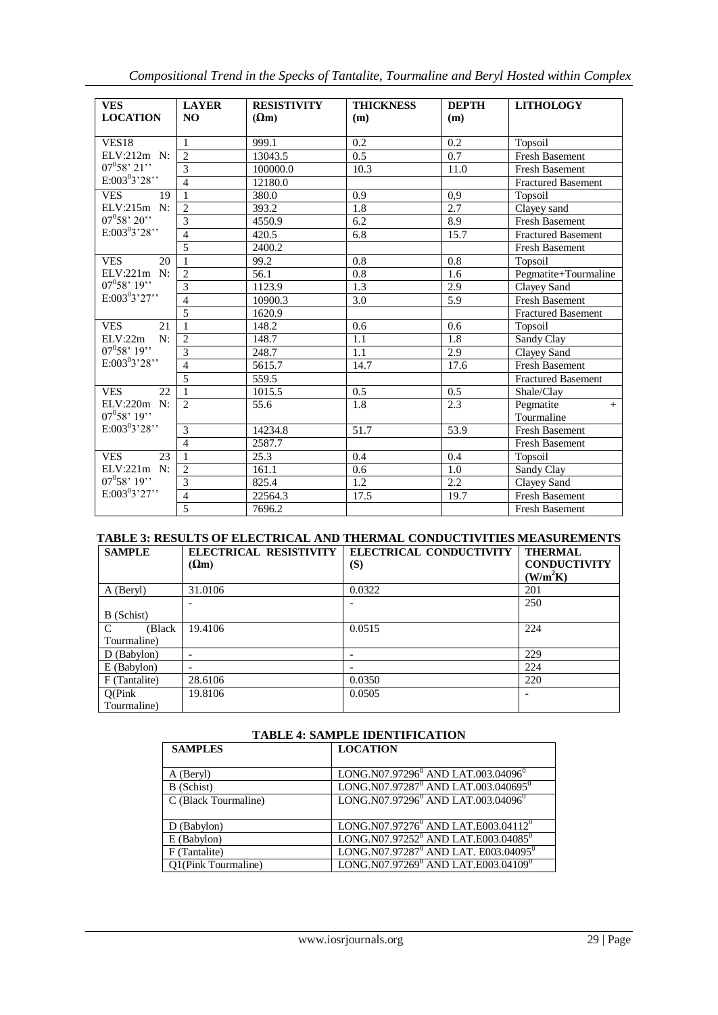|  |  |  |  | Compositional Trend in the Specks of Tantalite, Tourmaline and Beryl Hosted within Complex |  |
|--|--|--|--|--------------------------------------------------------------------------------------------|--|
|--|--|--|--|--------------------------------------------------------------------------------------------|--|

| <b>VES</b><br><b>LOCATION</b> | <b>LAYER</b><br>N <sub>O</sub> | <b>RESISTIVITY</b><br>$(\Omega_m)$ | <b>THICKNESS</b><br>(m) | <b>DEPTH</b><br>(m) | <b>LITHOLOGY</b>               |
|-------------------------------|--------------------------------|------------------------------------|-------------------------|---------------------|--------------------------------|
| <b>VES18</b>                  | $\mathbf{1}$                   | 999.1                              | 0.2                     | 0.2                 | Topsoil                        |
| ELV:212m N:                   | $\overline{2}$                 | $130\overline{43.5}$               | 0.5                     | 0.7                 | <b>Fresh Basement</b>          |
| $07^0 58' 21'$                | 3                              | 100000.0                           | 10.3                    | 11.0                | <b>Fresh Basement</b>          |
| $E:003^03'28''$               | $\overline{4}$                 | 12180.0                            |                         |                     | <b>Fractured Basement</b>      |
| <b>VES</b><br>19              | $\mathbf{1}$                   | 380.0                              | 0.9                     | 0,9                 | Topsoil                        |
| $ELV:215m$ N:                 | $\overline{2}$                 | 393.2                              | 1.8                     | 2.7                 | Clayey sand                    |
| $07^0 58' 20'$                | 3                              | 4550.9                             | 6.2                     | 8.9                 | Fresh Basement                 |
| $E:003^{0}3'28"$              | $\overline{4}$                 | 420.5                              | 6.8                     | 15.7                | <b>Fractured Basement</b>      |
|                               | 5                              | 2400.2                             |                         |                     | <b>Fresh Basement</b>          |
| <b>VES</b><br>20              | $\mathbf{1}$                   | 99.2                               | 0.8                     | 0.8                 | Topsoil                        |
| ELV:221m N:                   | $\mathfrak{D}$                 | 56.1                               | 0.8                     | 1.6                 | Pegmatite+Tourmaline           |
| $07^{0}58'$ 19''              | 3                              | 1123.9                             | 1.3                     | 2.9                 | Clayey Sand                    |
| $E:003^{0}3'27''$             | $\overline{4}$                 | 10900.3                            | 3.0                     | 5.9                 | <b>Fresh Basement</b>          |
|                               | 5                              | 1620.9                             |                         |                     | <b>Fractured Basement</b>      |
| <b>VES</b><br>21              | $\mathbf{1}$                   | 148.2                              | 0.6                     | 0.6                 | Topsoil                        |
| $ELV:22m$ N:                  | $\overline{c}$                 | 148.7                              | 1.1                     | 1.8                 | Sandy Clay                     |
| $07^{0}58'$ 19''              | 3                              | 248.7                              | 1.1                     | 2.9                 | Clayey Sand                    |
| $E:003^{0}3'28"$              | $\overline{4}$                 | 5615.7                             | 14.7                    | 17.6                | <b>Fresh Basement</b>          |
|                               | 5                              | 559.5                              |                         |                     | <b>Fractured Basement</b>      |
| <b>VES</b><br>22.             | $\mathbf{1}$                   | 1015.5                             | 0.5                     | 0.5                 | Shale/Clay                     |
| ELV:220m N:<br>$07^0 58' 19'$ | $\mathfrak{D}$                 | 55.6                               | 1.8                     | 2.3                 | Pegmatite<br>$+$<br>Tourmaline |
| $E:003^{0}3'28"$              | 3                              | 14234.8                            | 51.7                    | 53.9                | Fresh Basement                 |
|                               | $\overline{4}$                 | 2587.7                             |                         |                     | <b>Fresh Basement</b>          |
| 23<br><b>VES</b>              | $\mathbf{1}$                   | 25.3                               | 0.4                     | 0.4                 | Topsoil                        |
| ELV:221m N:                   | $\overline{2}$                 | 161.1                              | $0.6^{\circ}$           | 1.0                 | Sandy Clay                     |
| $07^0 58' 19'$                | 3                              | 825.4                              | 1.2                     | 2.2                 | Clayey Sand                    |
| $E:003^03'27''$               | $\overline{\mathcal{L}}$       | 22564.3                            | 17.5                    | 19.7                | <b>Fresh Basement</b>          |
|                               | 5                              | 7696.2                             |                         |                     | <b>Fresh Basement</b>          |

# **TABLE 3: RESULTS OF ELECTRICAL AND THERMAL CONDUCTIVITIES MEASUREMENTS**

| <b>SAMPLE</b>           | ELECTRICAL RESISTIVITY   | ELECTRICAL CONDUCTIVITY | <b>THERMAL</b>       |
|-------------------------|--------------------------|-------------------------|----------------------|
|                         | $(\Omega m)$             | (S)                     | <b>CONDUCTIVITY</b>  |
|                         |                          |                         | (W/m <sup>2</sup> K) |
| A (Beryl)               | 31.0106                  | 0.0322                  | 201                  |
|                         |                          |                         | 250                  |
| B (Schist)              |                          |                         |                      |
| $\mathcal{C}$<br>(Black | 19.4106                  | 0.0515                  | 224                  |
| Tourmaline)             |                          |                         |                      |
| $D$ (Babylon)           |                          |                         | 229                  |
| $E$ (Babylon)           | $\overline{\phantom{0}}$ |                         | 224                  |
| F (Tantalite)           | 28.6106                  | 0.0350                  | 220                  |
| Q(Pink)                 | 19.8106                  | 0.0505                  |                      |
| Tourmaline)             |                          |                         |                      |

### **TABLE 4: SAMPLE IDENTIFICATION**

| <b>SAMPLES</b>       | <b>LOCATION</b>                                              |
|----------------------|--------------------------------------------------------------|
|                      |                                                              |
| A (Beryl)            | LONG.N07.97296 <sup>0</sup> AND LAT.003.04096 <sup>0</sup>   |
| B (Schist)           | LONG.N07.97287 <sup>0</sup> AND LAT.003.040695 <sup>0</sup>  |
| C (Black Tourmaline) | LONG.N07.97296 <sup>0</sup> AND LAT.003.04096 <sup>0</sup>   |
|                      |                                                              |
| $D$ (Babylon)        | LONG.N07.97276 <sup>0</sup> AND LAT.E003.04112 <sup>0</sup>  |
| E (Babylon)          | LONG.N07.97252 <sup>0</sup> AND LAT.E003.04085 <sup>0</sup>  |
| F (Tantalite)        | LONG.N07.97287 <sup>0</sup> AND LAT. E003.04095 <sup>0</sup> |
| Q1(Pink Tourmaline)  | LONG.N07.97269 <sup>0</sup> AND LAT.E003.04109 <sup>0</sup>  |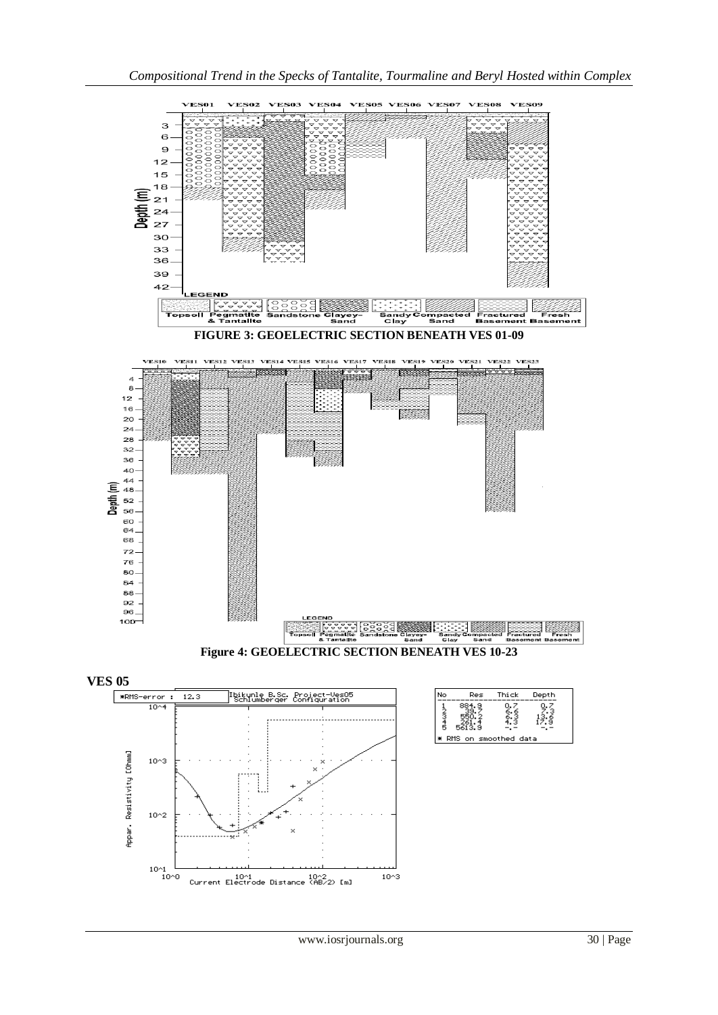

 $10^{3}$ 

ŧ.

10^1 10^2<br>Current Electrode Distance (AB/2) [m]

 $10^{2}$ 

 $10^{1}$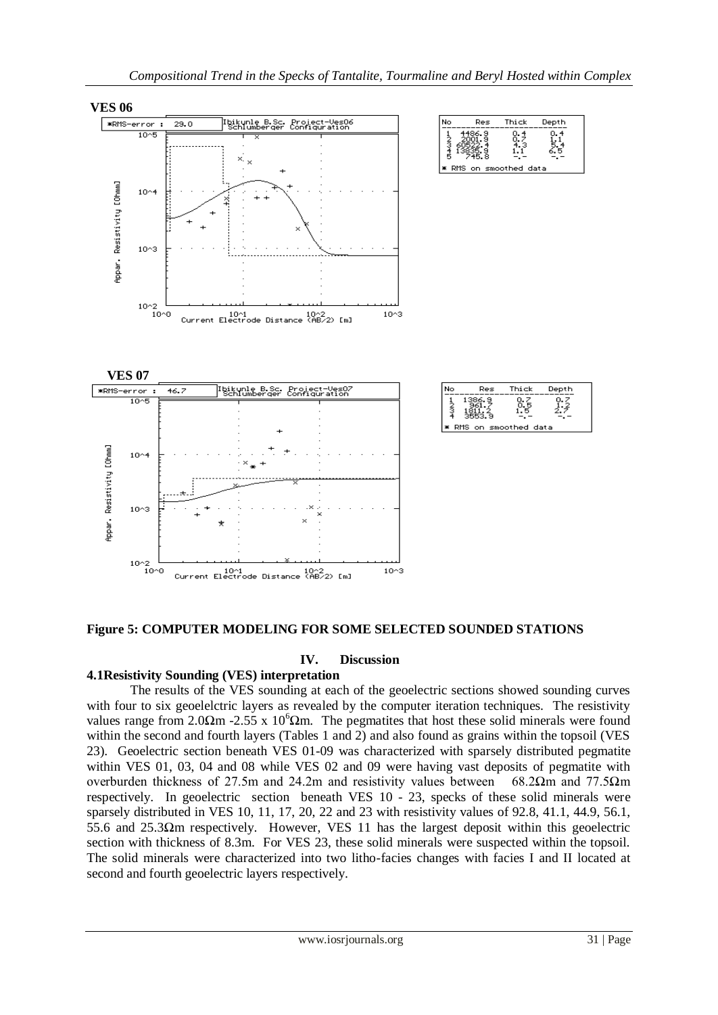

**Figure 5: COMPUTER MODELING FOR SOME SELECTED SOUNDED STATIONS**

### **IV. Discussion**

## **4.1Resistivity Sounding (VES) interpretation**

The results of the VES sounding at each of the geoelectric sections showed sounding curves with four to six geoelelctric layers as revealed by the computer iteration techniques. The resistivity values range from 2.0 $\Omega$ m -2.55 x 10<sup>6</sup> $\Omega$ m. The pegmatites that host these solid minerals were found within the second and fourth layers (Tables 1 and 2) and also found as grains within the topsoil (VES 23). Geoelectric section beneath VES 01-09 was characterized with sparsely distributed pegmatite within VES 01, 03, 04 and 08 while VES 02 and 09 were having vast deposits of pegmatite with overburden thickness of 27.5m and 24.2m and resistivity values between 68.2Ωm and 77.5Ωm respectively. In geoelectric section beneath VES 10 - 23, specks of these solid minerals were sparsely distributed in VES 10, 11, 17, 20, 22 and 23 with resistivity values of 92.8, 41.1, 44.9, 56.1, 55.6 and 25.3Ωm respectively. However, VES 11 has the largest deposit within this geoelectric section with thickness of 8.3m. For VES 23, these solid minerals were suspected within the topsoil. The solid minerals were characterized into two litho-facies changes with facies I and II located at second and fourth geoelectric layers respectively.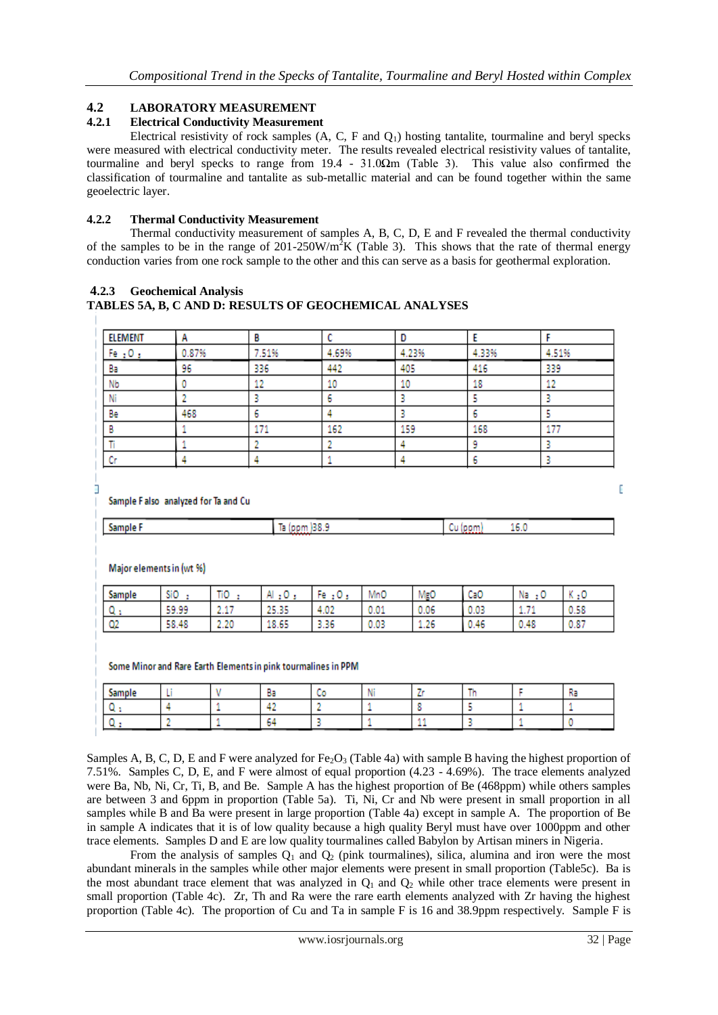### **4.2 LABORATORY MEASUREMENT**

### **4.2.1 Electrical Conductivity Measurement**

Electrical resistivity of rock samples  $(A, C, F, A)$  hosting tantalite, tourmaline and beryl specks were measured with electrical conductivity meter. The results revealed electrical resistivity values of tantalite, tourmaline and beryl specks to range from 19.4 - 31.0Ωm (Table 3). This value also confirmed the classification of tourmaline and tantalite as sub-metallic material and can be found together within the same geoelectric layer.

### **4.2.2 Thermal Conductivity Measurement**

Thermal conductivity measurement of samples A, B, C, D, E and F revealed the thermal conductivity of the samples to be in the range of  $201-250W/m^2K$  (Table 3). This shows that the rate of thermal energy conduction varies from one rock sample to the other and this can serve as a basis for geothermal exploration.

### **4.2.3 Geochemical Analysis**

#### **TABLES 5A, B, C AND D: RESULTS OF GEOCHEMICAL ANALYSES**

| ELEMENT      | А     |       |       |       |       |        |
|--------------|-------|-------|-------|-------|-------|--------|
| Fe $\pm 0.5$ | 0.87% | 7.51% | 4.69% | 4.23% | 4.33% | 4.51%  |
| Ba           | 96    | 336   | 442   | 405   | 416   | 339    |
| Nb           |       |       | 10    | 10    | 18    | 10<br> |
| Ni           |       |       |       |       |       |        |
| Be           | 468   |       |       |       |       |        |
|              |       | 171   | 162   | 159   | 168   | 177    |
|              |       |       |       |       |       |        |
| n.           |       |       |       |       |       |        |

Sample Falso analyzed for Ta and Cu

| war<br>-- | . |  |
|-----------|---|--|
|           |   |  |

Major elements in (wt %)

| Sample | SiO   | TiO             | Al<br>2 U | Fe.<br>чυ.    | MnO  | MgO  | CaO  | Na<br>2 U | 29   |
|--------|-------|-----------------|-----------|---------------|------|------|------|-----------|------|
| м.     | 59.99 | <b>A 45</b><br> | 25.35     | a na<br>7.UZ. | 0.01 | 0.06 | 0.03 | $\cdots$  | 0.58 |
| -02    | 58.48 | 2.20            | 18.65     | 3.36          | 0.03 | 1.26 | 0.46 | 0.48      | 0.87 |

Some Minor and Rare Earth Elements in pink tourmalines in PPM

| -- |  | -- | . . |  |  |  |
|----|--|----|-----|--|--|--|
|    |  |    |     |  |  |  |
|    |  |    |     |  |  |  |

Samples A, B, C, D, E and F were analyzed for  $Fe<sub>2</sub>O<sub>3</sub>$  (Table 4a) with sample B having the highest proportion of 7.51%. Samples C, D, E, and F were almost of equal proportion (4.23 - 4.69%). The trace elements analyzed were Ba, Nb, Ni, Cr, Ti, B, and Be. Sample A has the highest proportion of Be (468ppm) while others samples are between 3 and 6ppm in proportion (Table 5a). Ti, Ni, Cr and Nb were present in small proportion in all samples while B and Ba were present in large proportion (Table 4a) except in sample A. The proportion of Be in sample A indicates that it is of low quality because a high quality Beryl must have over 1000ppm and other trace elements. Samples D and E are low quality tourmalines called Babylon by Artisan miners in Nigeria.

From the analysis of samples  $Q_1$  and  $Q_2$  (pink tourmalines), silica, alumina and iron were the most abundant minerals in the samples while other major elements were present in small proportion (Table5c). Ba is the most abundant trace element that was analyzed in  $Q_1$  and  $Q_2$  while other trace elements were present in small proportion (Table 4c). Zr, Th and Ra were the rare earth elements analyzed with Zr having the highest proportion (Table 4c). The proportion of Cu and Ta in sample F is 16 and 38.9ppm respectively. Sample F is

D